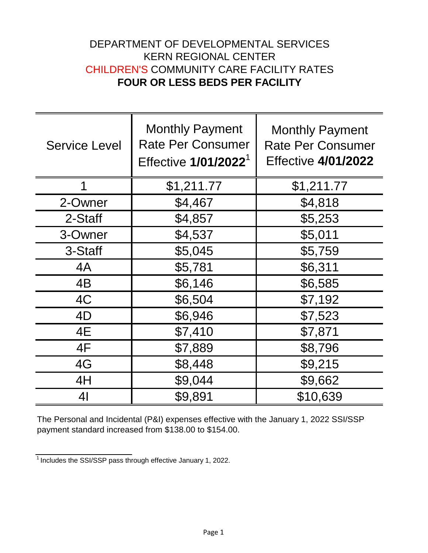## DEPARTMENT OF DEVELOPMENTAL SERVICES KERN REGIONAL CENTER CHILDREN'S COMMUNITY CARE FACILITY RATES **FOUR OR LESS BEDS PER FACILITY**

| <b>Service Level</b> | <b>Monthly Payment</b><br><b>Rate Per Consumer</b><br>Effective 1/01/2022 <sup>1</sup> | <b>Monthly Payment</b><br><b>Rate Per Consumer</b><br><b>Effective 4/01/2022</b> |
|----------------------|----------------------------------------------------------------------------------------|----------------------------------------------------------------------------------|
| 1                    | \$1,211.77                                                                             | \$1,211.77                                                                       |
| 2-Owner              | \$4,467                                                                                | \$4,818                                                                          |
| 2-Staff              | \$4,857                                                                                | \$5,253                                                                          |
| 3-Owner              | \$4,537                                                                                | \$5,011                                                                          |
| 3-Staff              | \$5,045                                                                                | \$5,759                                                                          |
| 4A                   | \$5,781                                                                                | \$6,311                                                                          |
| 4B                   | \$6,146                                                                                | \$6,585                                                                          |
| 4C                   | \$6,504                                                                                | \$7,192                                                                          |
| 4D                   | \$6,946                                                                                | \$7,523                                                                          |
| 4E                   | \$7,410                                                                                | \$7,871                                                                          |
| 4F                   | \$7,889                                                                                | \$8,796                                                                          |
| 4G                   | \$8,448                                                                                | \$9,215                                                                          |
| 4H                   | \$9,044                                                                                | \$9,662                                                                          |
| 4 <sub>l</sub>       | \$9,891                                                                                | \$10,639                                                                         |

The Personal and Incidental (P&I) expenses effective with the January 1, 2022 SSI/SSP payment standard increased from \$138.00 to \$154.00.

 $1$ Includes the SSI/SSP pass through effective January 1, 2022.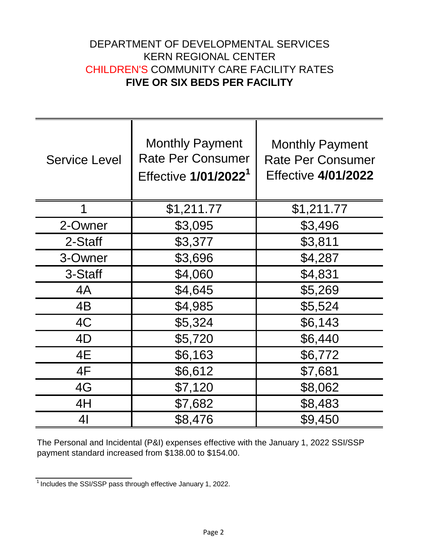## DEPARTMENT OF DEVELOPMENTAL SERVICES KERN REGIONAL CENTER CHILDREN'S COMMUNITY CARE FACILITY RATES **FIVE OR SIX BEDS PER FACILITY**

| <b>Service Level</b> | <b>Monthly Payment</b><br><b>Rate Per Consumer</b><br>Effective 1/01/2022 <sup>1</sup> | <b>Monthly Payment</b><br><b>Rate Per Consumer</b><br><b>Effective 4/01/2022</b> |
|----------------------|----------------------------------------------------------------------------------------|----------------------------------------------------------------------------------|
| 1                    | \$1,211.77                                                                             | \$1,211.77                                                                       |
| 2-Owner              | \$3,095                                                                                | \$3,496                                                                          |
| 2-Staff              | \$3,377                                                                                | \$3,811                                                                          |
| 3-Owner              | \$3,696                                                                                | \$4,287                                                                          |
| 3-Staff              | \$4,060                                                                                | \$4,831                                                                          |
| 4A                   | \$4,645                                                                                | \$5,269                                                                          |
| 4B                   | \$4,985                                                                                | \$5,524                                                                          |
| 4C                   | \$5,324                                                                                | \$6,143                                                                          |
| 4D                   | \$5,720                                                                                | \$6,440                                                                          |
| 4E                   | \$6,163                                                                                | \$6,772                                                                          |
| 4F                   | \$6,612                                                                                | \$7,681                                                                          |
| 4G                   | \$7,120                                                                                | \$8,062                                                                          |
| 4H                   | \$7,682                                                                                | \$8,483                                                                          |
| 41                   | \$8,476                                                                                | \$9,450                                                                          |

The Personal and Incidental (P&I) expenses effective with the January 1, 2022 SSI/SSP payment standard increased from \$138.00 to \$154.00.

 $\frac{1}{1}$  Includes the SSI/SSP pass through effective January 1, 2022.